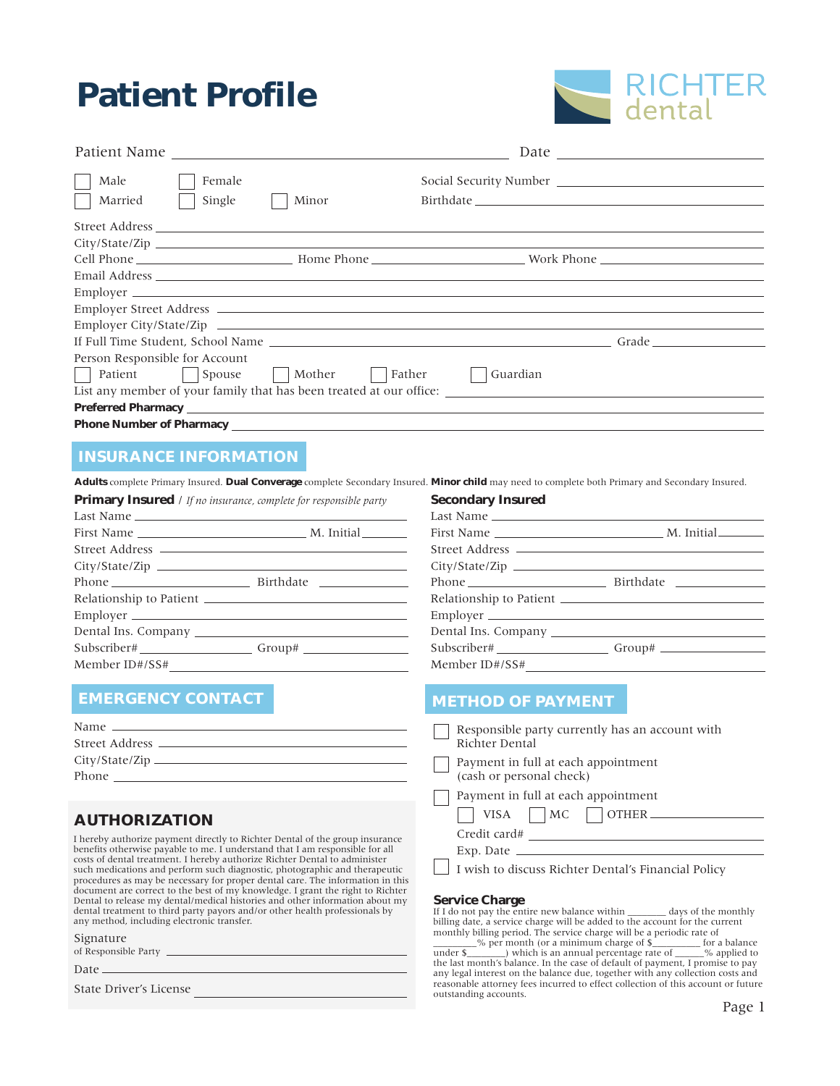## **Patient Profile**



| Patient Name                                                        |       | Date <u>_____________________</u> |       |
|---------------------------------------------------------------------|-------|-----------------------------------|-------|
| Male<br>Female<br>Single<br>Married                                 | Minor |                                   |       |
|                                                                     |       |                                   |       |
|                                                                     |       |                                   |       |
|                                                                     |       |                                   |       |
|                                                                     |       |                                   |       |
|                                                                     |       |                                   |       |
|                                                                     |       |                                   |       |
|                                                                     |       |                                   |       |
|                                                                     |       |                                   | Grade |
| Person Responsible for Account                                      |       |                                   |       |
| Patient   Spouse   Mother                                           |       | Father<br>Guardian                |       |
| List any member of your family that has been treated at our office: |       |                                   |       |
|                                                                     |       |                                   |       |
|                                                                     |       |                                   |       |

### **INSURANCE INFORMATION**

**Adults** complete Primary Insured. **Dual Converage** complete Secondary Insured. **Minor child** may need to complete both Primary and Secondary Insured.

| <b>Primary Insured</b> / If no insurance, complete for responsible party |  |  |
|--------------------------------------------------------------------------|--|--|
|                                                                          |  |  |
|                                                                          |  |  |
|                                                                          |  |  |
| City/State/Zip                                                           |  |  |
| Phone Birthdate Birthdate                                                |  |  |
| Relationship to Patient                                                  |  |  |
|                                                                          |  |  |
|                                                                          |  |  |
|                                                                          |  |  |
| Member ID#/SS#                                                           |  |  |

### **Secondary Insured**

| Phone Birthdate Birthdate |  |
|---------------------------|--|
| Relationship to Patient   |  |
|                           |  |
|                           |  |
|                           |  |
| Member ID#/SS#            |  |

### **EMERGENCY CONTACT**

| Phone |  |
|-------|--|

### **AUTHORIZATION**

I hereby authorize payment directly to Richter Dental of the group insurance benefits otherwise payable to me. I understand that I am responsible for all costs of dental treatment. I hereby authorize Richter Dental to administer<br>such medications and perform such diagnostic, photographic and therapeutic<br>procedures as may be necessary for proper dental care. The information i Dental to release my dental/medical histories and other information about my dental treatment to third party payors and/or other health professionals by any method, including electronic transfer.

Signature

of Responsible Party

Date

State Driver's License

| Responsible party currently has an account with<br>Richter Dental                         |
|-------------------------------------------------------------------------------------------|
| Payment in full at each appointment<br>(cash or personal check)                           |
| Payment in full at each appointment<br>$VISA$ $ $ $MC$ $ $<br>$\overline{O}$ OTHER        |
| Credit card#<br>Exp. Date $\equiv$<br>I wish to discuss Richter Dental's Financial Policy |

#### **Service Charge**

If I do not pay the entire new balance within \_\_\_\_\_\_\_\_ days of the monthly billing date, a service charge will be added to the account for the current monthly billing period. The service charge will be a periodic rate of

\_\_\_\_\_\_\_\_\_% per month (or a minimum charge of \$\_\_\_\_\_\_\_\_\_\_ for a balance under \$\_\_\_\_\_\_\_\_) which is an annual percentage rate of \_\_\_\_\_\_% applied to the last month's balance. In the case of default of payment, I promise to pay any legal interest on the balance due, together with any collection costs and reasonable attorney fees incurred to effect collection of this account or future outstanding accounts.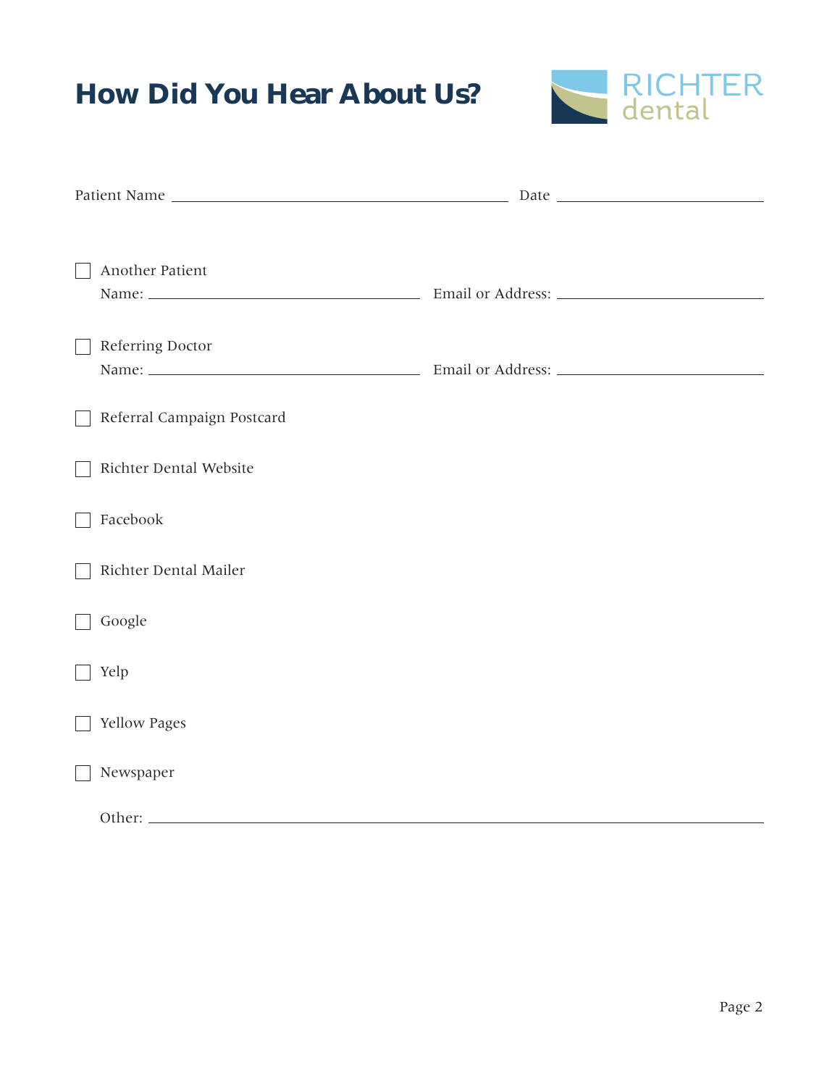## **How Did You Hear About Us?**



| Another Patient            |  |
|----------------------------|--|
|                            |  |
| Referring Doctor           |  |
|                            |  |
| Referral Campaign Postcard |  |
| Richter Dental Website     |  |
|                            |  |
| Facebook                   |  |
|                            |  |
| Richter Dental Mailer      |  |
|                            |  |
| Google                     |  |
|                            |  |
| Yelp                       |  |
|                            |  |
| Yellow Pages               |  |
|                            |  |
| Newspaper                  |  |
|                            |  |
| Other: _                   |  |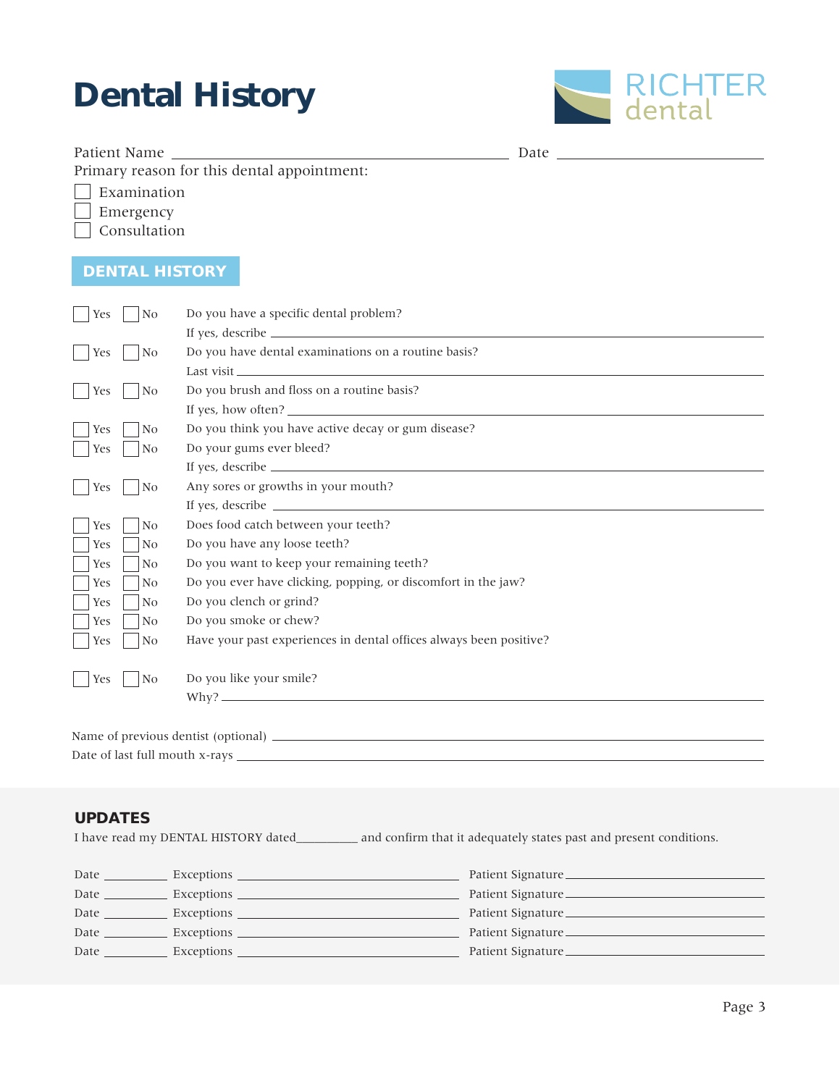## **Dental History**



| Patient Name                                | Date |  |
|---------------------------------------------|------|--|
| Primary reason for this dental appointment: |      |  |
| Examination                                 |      |  |
| Emergency                                   |      |  |
| Consultation                                |      |  |

### **DENTAL HISTORY**

| Yes                            | N <sub>0</sub> | Do you have a specific dental problem?                                                                                                                                                                                         |
|--------------------------------|----------------|--------------------------------------------------------------------------------------------------------------------------------------------------------------------------------------------------------------------------------|
|                                |                |                                                                                                                                                                                                                                |
| Yes                            | N <sub>0</sub> | Do you have dental examinations on a routine basis?                                                                                                                                                                            |
|                                |                | Last visit results and the second second second second second second second second second second second second second second second second second second second second second second second second second second second second |
| Yes                            | N <sub>0</sub> | Do you brush and floss on a routine basis?                                                                                                                                                                                     |
|                                |                |                                                                                                                                                                                                                                |
| Yes                            | N <sub>0</sub> | Do you think you have active decay or gum disease?                                                                                                                                                                             |
| Yes                            | No             | Do your gums ever bleed?                                                                                                                                                                                                       |
|                                |                |                                                                                                                                                                                                                                |
| Yes                            | N <sub>0</sub> | Any sores or growths in your mouth?                                                                                                                                                                                            |
|                                |                |                                                                                                                                                                                                                                |
| Yes                            | No             | Does food catch between your teeth?                                                                                                                                                                                            |
| Yes                            | No             | Do you have any loose teeth?                                                                                                                                                                                                   |
| Yes                            | N <sub>0</sub> | Do you want to keep your remaining teeth?                                                                                                                                                                                      |
| Yes                            | No             | Do you ever have clicking, popping, or discomfort in the jaw?                                                                                                                                                                  |
| Yes                            | N <sub>0</sub> | Do you clench or grind?                                                                                                                                                                                                        |
| Yes                            | N <sub>0</sub> | Do you smoke or chew?                                                                                                                                                                                                          |
| Yes                            | N <sub>0</sub> | Have your past experiences in dental offices always been positive?                                                                                                                                                             |
| Yes                            | N <sub>0</sub> | Do you like your smile?                                                                                                                                                                                                        |
|                                |                |                                                                                                                                                                                                                                |
|                                |                |                                                                                                                                                                                                                                |
|                                |                |                                                                                                                                                                                                                                |
| Date of last full mouth x-rays |                |                                                                                                                                                                                                                                |

### **UPDATES**

I have read my DENTAL HISTORY dated\_\_\_\_\_\_\_\_\_\_ and confirm that it adequately states past and present conditions.

| Date | Exceptions        | Patient Signature  |
|------|-------------------|--------------------|
| Date | <b>Exceptions</b> | Patient Signature_ |
| Date | Exceptions        | Patient Signature_ |
| Date | Exceptions        | Patient Signature  |
| Date | Exceptions        | Patient Signature_ |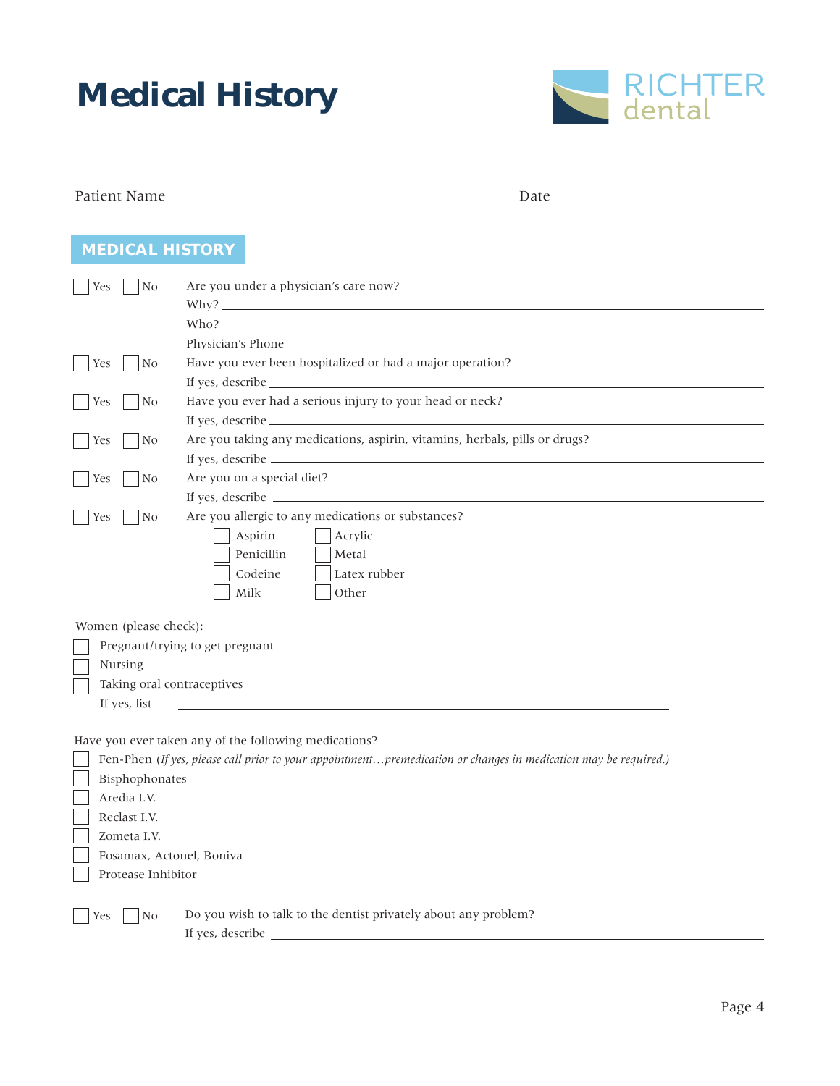## **Medical History**



Patient Name Date

### **MEDICAL HISTORY**

| Are you under a physician's care now?<br>N <sub>0</sub><br>Yes                                                  |                                                                                     |  |
|-----------------------------------------------------------------------------------------------------------------|-------------------------------------------------------------------------------------|--|
|                                                                                                                 |                                                                                     |  |
|                                                                                                                 |                                                                                     |  |
|                                                                                                                 |                                                                                     |  |
| No<br>Yes                                                                                                       | Have you ever been hospitalized or had a major operation?                           |  |
|                                                                                                                 |                                                                                     |  |
| No<br>Yes                                                                                                       | Have you ever had a serious injury to your head or neck?                            |  |
|                                                                                                                 |                                                                                     |  |
| N <sub>0</sub><br>Yes                                                                                           | Are you taking any medications, aspirin, vitamins, herbals, pills or drugs?         |  |
|                                                                                                                 | Are you on a special diet?                                                          |  |
| Yes<br>No                                                                                                       |                                                                                     |  |
| Yes<br>N <sub>0</sub>                                                                                           | Are you allergic to any medications or substances?                                  |  |
|                                                                                                                 | Aspirin<br>Acrylic                                                                  |  |
|                                                                                                                 | Penicillin<br>Metal                                                                 |  |
|                                                                                                                 | Codeine<br>Latex rubber                                                             |  |
|                                                                                                                 | Milk<br>Other $\_\_$                                                                |  |
|                                                                                                                 |                                                                                     |  |
| Women (please check):                                                                                           |                                                                                     |  |
|                                                                                                                 | Pregnant/trying to get pregnant                                                     |  |
| Nursing                                                                                                         |                                                                                     |  |
| Taking oral contraceptives                                                                                      |                                                                                     |  |
| If yes, list                                                                                                    |                                                                                     |  |
|                                                                                                                 |                                                                                     |  |
|                                                                                                                 | Have you ever taken any of the following medications?                               |  |
| Fen-Phen (If yes, please call prior to your appointmentpremedication or changes in medication may be required.) |                                                                                     |  |
| Bisphophonates                                                                                                  |                                                                                     |  |
| Aredia I.V.                                                                                                     |                                                                                     |  |
| Reclast I.V.                                                                                                    |                                                                                     |  |
| Zometa I.V.                                                                                                     |                                                                                     |  |
| Fosamax, Actonel, Boniva                                                                                        |                                                                                     |  |
| Protease Inhibitor                                                                                              |                                                                                     |  |
|                                                                                                                 |                                                                                     |  |
|                                                                                                                 |                                                                                     |  |
| N <sub>0</sub><br>Yes                                                                                           | Do you wish to talk to the dentist privately about any problem?<br>If yes, describe |  |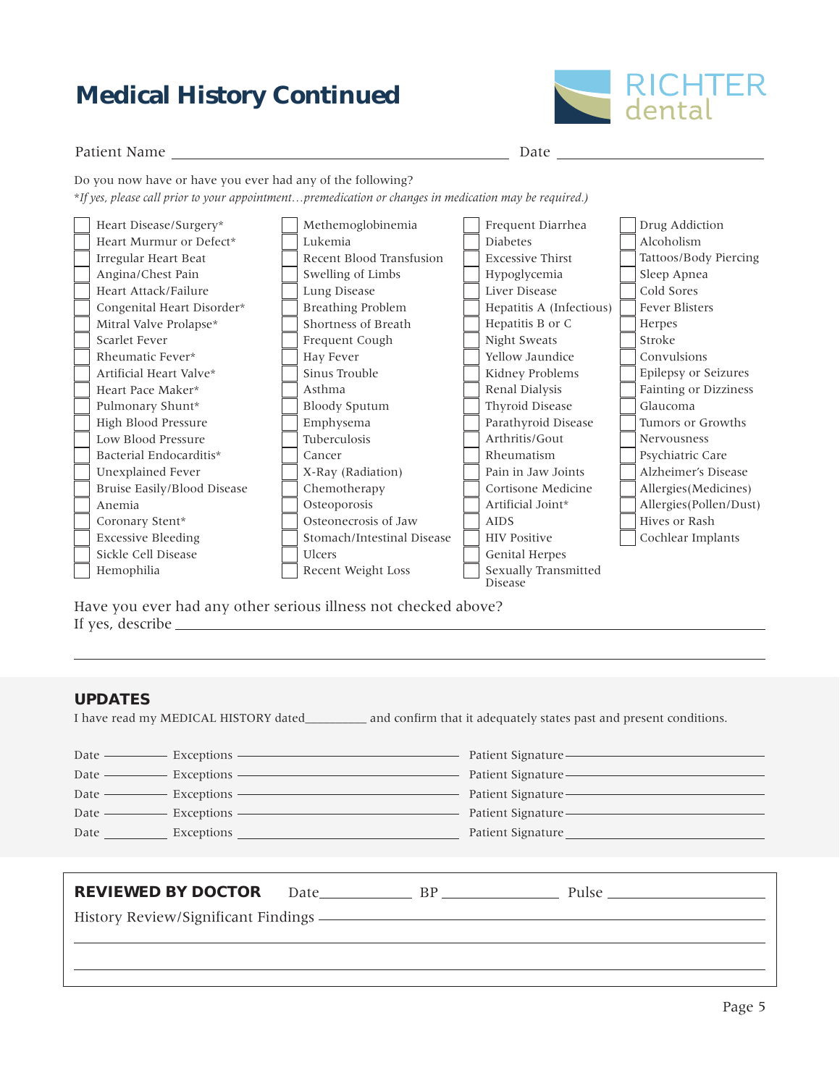### **Medical History Continued**



### Patient Name Date

Do you now have or have you ever had any of the following?

\**If yes, please call prior to your appointment…premedication or changes in medication may be required.)*



Have you ever had any other serious illness not checked above?

If yes, describe

### **UPDATES**

| I have read my MEDICAL HISTORY dated | and confirm that it adequately states past and present conditions. |
|--------------------------------------|--------------------------------------------------------------------|
|                                      |                                                                    |

| Date $\_\_$ | Exceptions –   | Patient Signature- |
|-------------|----------------|--------------------|
|             |                | Patient Signature- |
| Date $\_\_$ | — Exceptions – | Patient Signature- |
| $Date$ $-$  | Exceptions –   | Patient Signature- |
| Date        | Exceptions     | Patient Signature  |

| <b>REVIEWED BY DOCTOR</b>                   | Date | <b>BP</b> | Pulse |
|---------------------------------------------|------|-----------|-------|
| History Review/Significant Findings _______ |      |           |       |
|                                             |      |           |       |
|                                             |      |           |       |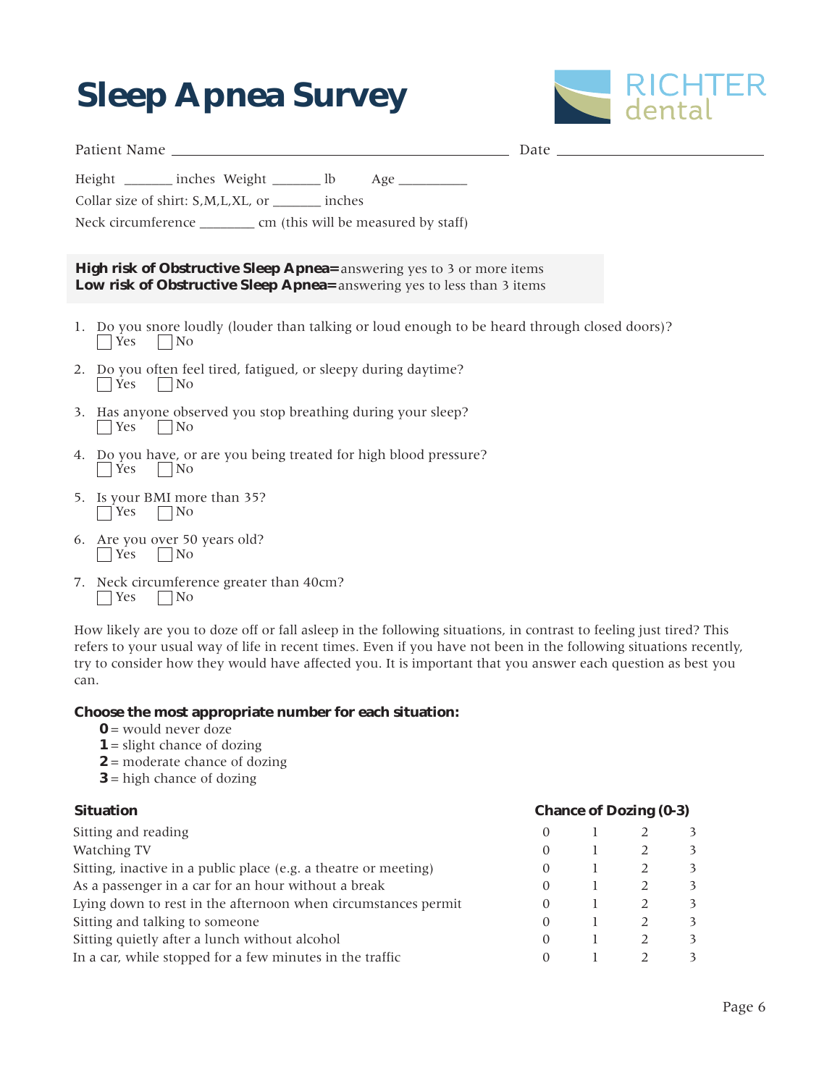# **Sleep Apnea Survey**



| Height ________ inches Weight ________ lb Age __________<br>Collar size of shirt: S,M,L,XL, or inches<br>Neck circumference ____________ cm (this will be measured by staff) |  |
|------------------------------------------------------------------------------------------------------------------------------------------------------------------------------|--|
| <b>High risk of Obstructive Sleep Apnea</b> = answering yes to 3 or more items<br>Low risk of Obstructive Sleep Apnea= answering yes to less than 3 items                    |  |
| 1. Do you snore loudly (louder than talking or loud enough to be heard through closed doors)?<br>$Yes \mid \text{No}$                                                        |  |

- 2. Do you often feel tired, fatigued, or sleepy during daytime? No No
- 3. Has anyone observed you stop breathing during your sleep?  $|$  Yes  $|$  No
- 4. Do you have, or are you being treated for high blood pressure?  $\Box$ Yes  $\Box$ No
- 5. Is your BMI more than 35?  $\Box$ Yes  $\Box$ No
- 6. Are you over 50 years old?  $\bigcap$  Yes  $\bigcap$  No
- 7. Neck circumference greater than 40cm?  $\bigcap$  Yes  $\bigcap$  No

How likely are you to doze off or fall asleep in the following situations, in contrast to feeling just tired? This refers to your usual way of life in recent times. Even if you have not been in the following situations recently, try to consider how they would have affected you. It is important that you answer each question as best you can.

### **Choose the most appropriate number for each situation:**

- **0** = would never doze
- $1 =$  slight chance of dozing
- **2** = moderate chance of dozing
- **3** = high chance of dozing

### **Situation Chance of Dozing (0-3)**

| .                                                               |                   | $\frac{1}{2}$ |  |   |  |
|-----------------------------------------------------------------|-------------------|---------------|--|---|--|
| Sitting and reading                                             | $\theta$          |               |  |   |  |
| Watching TV                                                     | $\theta$          |               |  | 3 |  |
| Sitting, inactive in a public place (e.g. a theatre or meeting) | $\mathbf{\Omega}$ |               |  | 3 |  |
| As a passenger in a car for an hour without a break             |                   |               |  | 3 |  |
| Lying down to rest in the afternoon when circumstances permit   | $\left( \right)$  |               |  | 3 |  |
| Sitting and talking to someone                                  |                   |               |  | 3 |  |
| Sitting quietly after a lunch without alcohol                   | $\mathbf{\Omega}$ |               |  | 3 |  |
| In a car, while stopped for a few minutes in the traffic        | $\mathcal{O}$     |               |  | 3 |  |
|                                                                 |                   |               |  |   |  |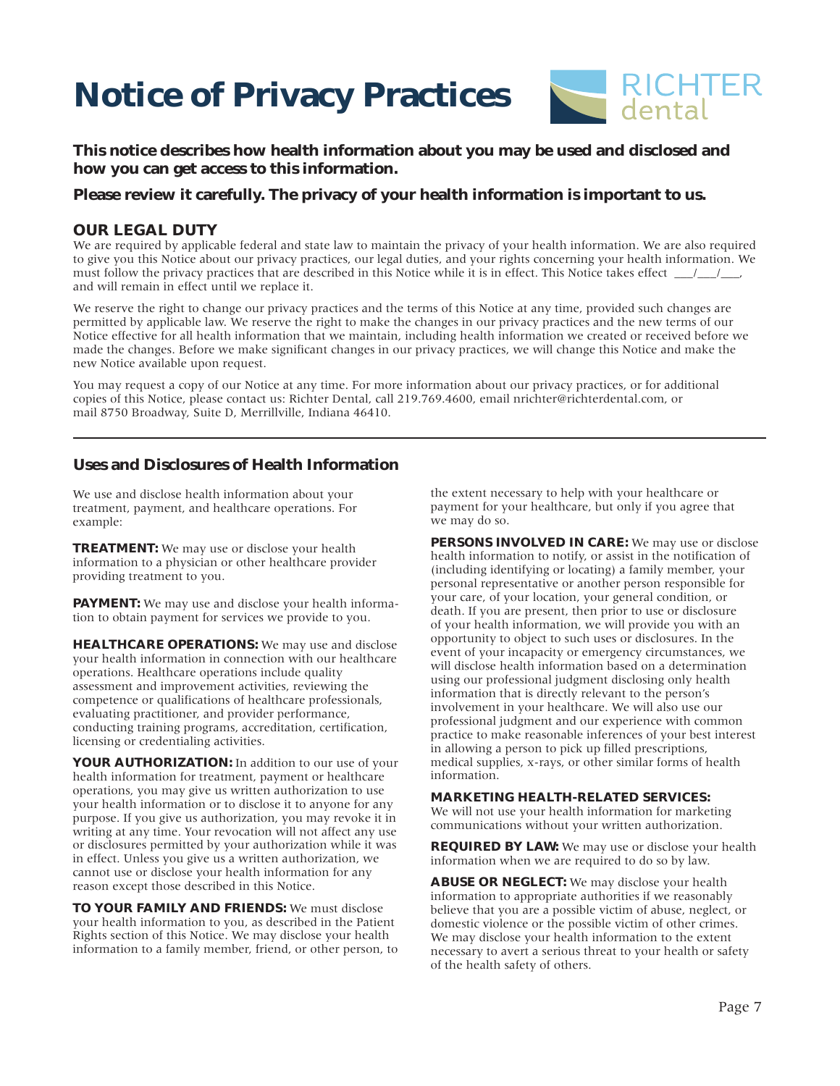## **Notice of Privacy Practices**



### **This notice describes how health information about you may be used and disclosed and how you can get access to this information.**

### **Please review it carefully. The privacy of your health information is important to us.**

### **OUR LEGAL DUTY**

We are required by applicable federal and state law to maintain the privacy of your health information. We are also required to give you this Notice about our privacy practices, our legal duties, and your rights concerning your health information. We must follow the privacy practices that are described in this Notice while it is in effect. This Notice takes effect  $\frac{1}{\sqrt{1-\frac{1}{n}}}$ and will remain in effect until we replace it.

We reserve the right to change our privacy practices and the terms of this Notice at any time, provided such changes are permitted by applicable law. We reserve the right to make the changes in our privacy practices and the new terms of our Notice effective for all health information that we maintain, including health information we created or received before we made the changes. Before we make significant changes in our privacy practices, we will change this Notice and make the new Notice available upon request.

You may request a copy of our Notice at any time. For more information about our privacy practices, or for additional copies of this Notice, please contact us: Richter Dental, call 219.769.4600, email nrichter@richterdental.com, or mail 8750 Broadway, Suite D, Merrillville, Indiana 46410.

### **Uses and Disclosures of Health Information**

We use and disclose health information about your treatment, payment, and healthcare operations. For example:

**TREATMENT:** We may use or disclose your health information to a physician or other healthcare provider providing treatment to you.

**PAYMENT:** We may use and disclose your health information to obtain payment for services we provide to you.

**HEALTHCARE OPERATIONS:** We may use and disclose your health information in connection with our healthcare operations. Healthcare operations include quality assessment and improvement activities, reviewing the competence or qualifications of healthcare professionals, evaluating practitioner, and provider performance, conducting training programs, accreditation, certification, licensing or credentialing activities.

**YOUR AUTHORIZATION:** In addition to our use of your health information for treatment, payment or healthcare operations, you may give us written authorization to use your health information or to disclose it to anyone for any purpose. If you give us authorization, you may revoke it in writing at any time. Your revocation will not affect any use or disclosures permitted by your authorization while it was in effect. Unless you give us a written authorization, we cannot use or disclose your health information for any reason except those described in this Notice.

**TO YOUR FAMILY AND FRIENDS:** We must disclose your health information to you, as described in the Patient Rights section of this Notice. We may disclose your health information to a family member, friend, or other person, to the extent necessary to help with your healthcare or payment for your healthcare, but only if you agree that we may do so.

**PERSONS INVOLVED IN CARE:** We may use or disclose health information to notify, or assist in the notification of (including identifying or locating) a family member, your personal representative or another person responsible for your care, of your location, your general condition, or death. If you are present, then prior to use or disclosure of your health information, we will provide you with an opportunity to object to such uses or disclosures. In the event of your incapacity or emergency circumstances, we will disclose health information based on a determination using our professional judgment disclosing only health information that is directly relevant to the person's involvement in your healthcare. We will also use our professional judgment and our experience with common practice to make reasonable inferences of your best interest in allowing a person to pick up filled prescriptions, medical supplies, x-rays, or other similar forms of health information.

#### **MARKETING HEALTH-RELATED SERVICES:**

We will not use your health information for marketing communications without your written authorization.

**REQUIRED BY LAW:** We may use or disclose your health information when we are required to do so by law.

**ABUSE OR NEGLECT:** We may disclose your health information to appropriate authorities if we reasonably believe that you are a possible victim of abuse, neglect, or domestic violence or the possible victim of other crimes. We may disclose your health information to the extent necessary to avert a serious threat to your health or safety of the health safety of others.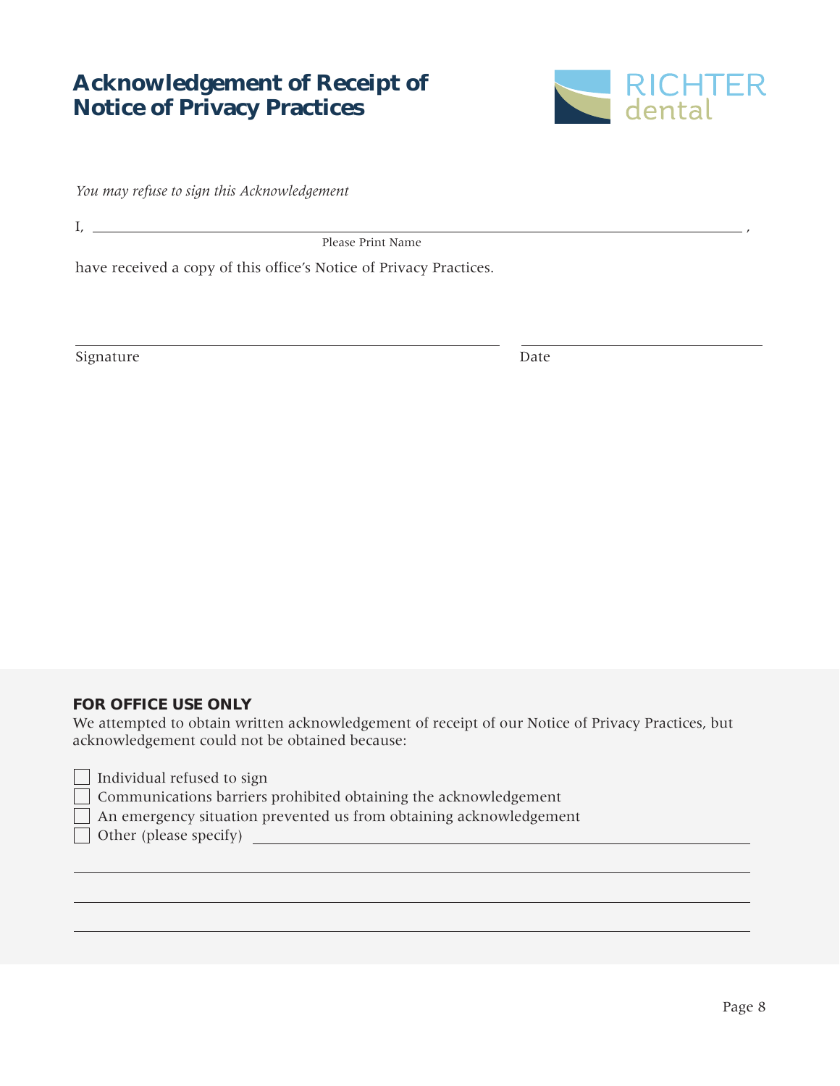### **Acknowledgement of Receipt of Notice of Privacy Practices**



*You may refuse to sign this Acknowledgement*

 $I, \quad \overline{\phantom{I}}$ 

Please Print Name

have received a copy of this office's Notice of Privacy Practices.

Signature Date

### **FOR OFFICE USE ONLY**

We attempted to obtain written acknowledgement of receipt of our Notice of Privacy Practices, but acknowledgement could not be obtained because:

 $\Box$  Individual refused to sign

Communications barriers prohibited obtaining the acknowledgement

 $\Box$  An emergency situation prevented us from obtaining acknowledgement

 $\Box$  Other (please specify)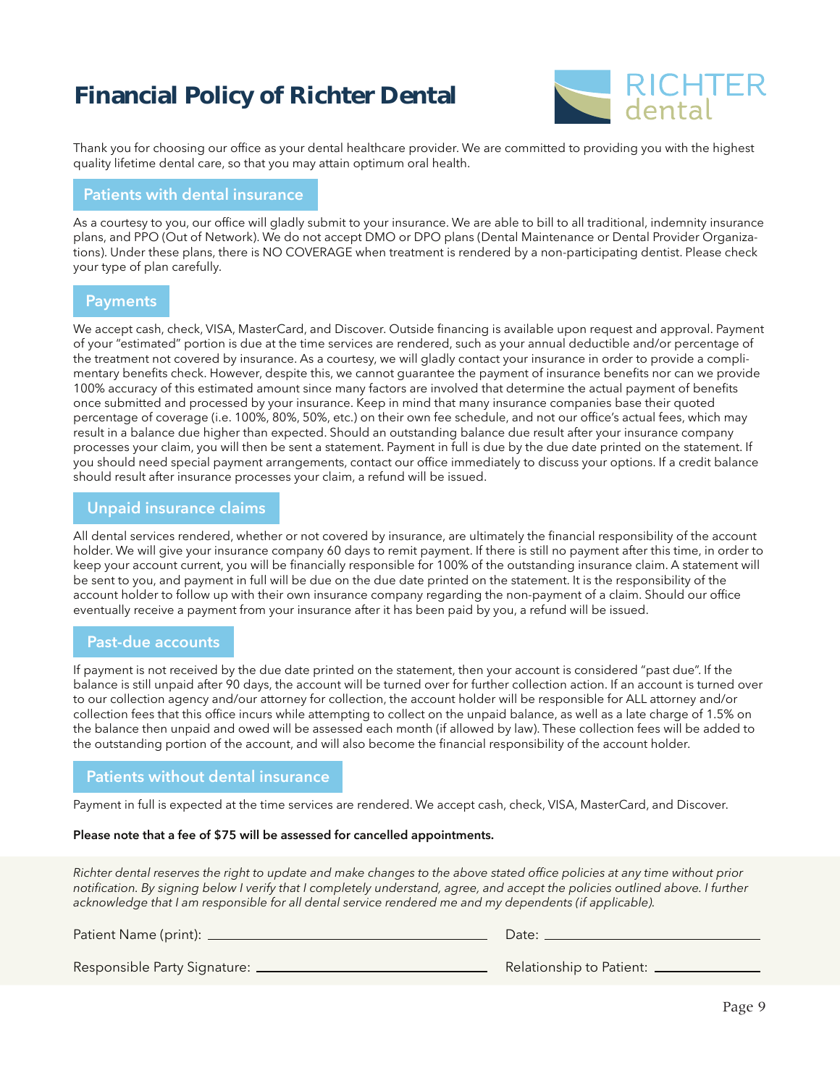### **Financial Policy of Richter Dental**



Thank you for choosing our office as your dental healthcare provider. We are committed to providing you with the highest quality lifetime dental care, so that you may attain optimum oral health.

### **Patients with dental insurance**

As a courtesy to you, our office will gladly submit to your insurance. We are able to bill to all traditional, indemnity insurance plans, and PPO (Out of Network). We do not accept DMO or DPO plans (Dental Maintenance or Dental Provider Organizations). Under these plans, there is NO COVERAGE when treatment is rendered by a non-participating dentist. Please check your type of plan carefully.

### **Payments**

We accept cash, check, VISA, MasterCard, and Discover. Outside financing is available upon request and approval. Payment of your "estimated" portion is due at the time services are rendered, such as your annual deductible and/or percentage of the treatment not covered by insurance. As a courtesy, we will gladly contact your insurance in order to provide a complimentary benefits check. However, despite this, we cannot guarantee the payment of insurance benefits nor can we provide 100% accuracy of this estimated amount since many factors are involved that determine the actual payment of benefits once submitted and processed by your insurance. Keep in mind that many insurance companies base their quoted percentage of coverage (i.e. 100%, 80%, 50%, etc.) on their own fee schedule, and not our office's actual fees, which may result in a balance due higher than expected. Should an outstanding balance due result after your insurance company processes your claim, you will then be sent a statement. Payment in full is due by the due date printed on the statement. If you should need special payment arrangements, contact our office immediately to discuss your options. If a credit balance should result after insurance processes your claim, a refund will be issued.

### **Unpaid insurance claims**

All dental services rendered, whether or not covered by insurance, are ultimately the financial responsibility of the account holder. We will give your insurance company 60 days to remit payment. If there is still no payment after this time, in order to keep your account current, you will be financially responsible for 100% of the outstanding insurance claim. A statement will be sent to you, and payment in full will be due on the due date printed on the statement. It is the responsibility of the account holder to follow up with their own insurance company regarding the non-payment of a claim. Should our office eventually receive a payment from your insurance after it has been paid by you, a refund will be issued.

### **Past-due accounts**

If payment is not received by the due date printed on the statement, then your account is considered "past due". If the balance is still unpaid after 90 days, the account will be turned over for further collection action. If an account is turned over to our collection agency and/our attorney for collection, the account holder will be responsible for ALL attorney and/or collection fees that this office incurs while attempting to collect on the unpaid balance, as well as a late charge of 1.5% on the balance then unpaid and owed will be assessed each month (if allowed by law). These collection fees will be added to the outstanding portion of the account, and will also become the financial responsibility of the account holder.

### **Patients without dental insurance**

Payment in full is expected at the time services are rendered. We accept cash, check, VISA, MasterCard, and Discover.

### **Please note that a fee of \$75 will be assessed for cancelled appointments.**

*Richter dental reserves the right to update and make changes to the above stated office policies at any time without prior*  notification. By signing below I verify that I completely understand, agree, and accept the policies outlined above. I further *acknowledge that I am responsible for all dental service rendered me and my dependents (if applicable).*

| Patient Name (print): .      | Date:                    |
|------------------------------|--------------------------|
| Responsible Party Signature: | Relationship to Patient: |
|                              |                          |